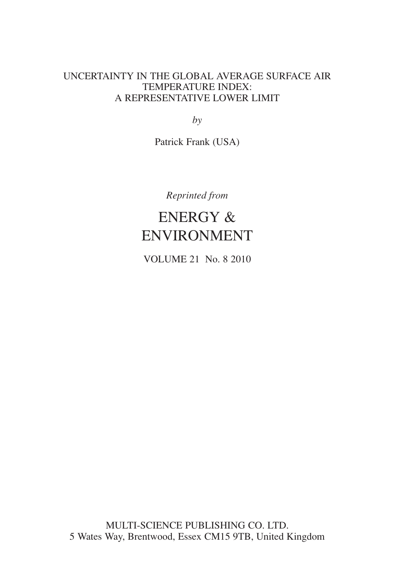# UNCERTAINTY IN THE GLOBAL AVERAGE SURFACE AIR TEMPERATURE INDEX: A REPRESENTATIVE LOWER LIMIT

*by*

Patrick Frank (USA)

*Reprinted from*

# ENERGY & ENVIRONMENT

VOLUME 21 No. 8 2010

MULTI-SCIENCE PUBLISHING CO. LTD. 5 Wates Way, Brentwood, Essex CM15 9TB, United Kingdom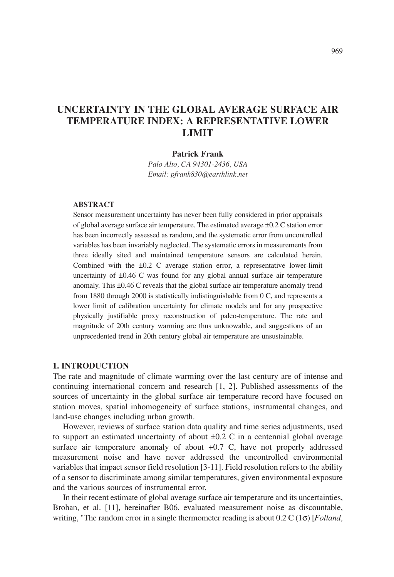# **UNCERTAINTY IN THE GLOBAL AVERAGE SURFACE AIR TEMPERATURE INDEX: A REPRESENTATIVE LOWER LIMIT**

#### **Patrick Frank**

*Palo Alto, CA 94301-2436, USA Email: pfrank830@earthlink.net*

#### **ABSTRACT**

Sensor measurement uncertainty has never been fully considered in prior appraisals of global average surface air temperature. The estimated average ±0.2 C station error has been incorrectly assessed as random, and the systematic error from uncontrolled variables has been invariably neglected. The systematic errors in measurements from three ideally sited and maintained temperature sensors are calculated herein. Combined with the ±0.2 C average station error, a representative lower-limit uncertainty of ±0.46 C was found for any global annual surface air temperature anomaly. This ±0.46 C reveals that the global surface air temperature anomaly trend from 1880 through 2000 is statistically indistinguishable from 0 C, and represents a lower limit of calibration uncertainty for climate models and for any prospective physically justifiable proxy reconstruction of paleo-temperature. The rate and magnitude of 20th century warming are thus unknowable, and suggestions of an unprecedented trend in 20th century global air temperature are unsustainable.

#### **1. INTRODUCTION**

The rate and magnitude of climate warming over the last century are of intense and continuing international concern and research [1, 2]. Published assessments of the sources of uncertainty in the global surface air temperature record have focused on station moves, spatial inhomogeneity of surface stations, instrumental changes, and land-use changes including urban growth.

However, reviews of surface station data quality and time series adjustments, used to support an estimated uncertainty of about  $\pm 0.2$  C in a centennial global average surface air temperature anomaly of about +0.7 C, have not properly addressed measurement noise and have never addressed the uncontrolled environmental variables that impact sensor field resolution [3-11]. Field resolution refers to the ability of a sensor to discriminate among similar temperatures, given environmental exposure and the various sources of instrumental error.

In their recent estimate of global average surface air temperature and its uncertainties, Brohan, et al. [11], hereinafter B06, evaluated measurement noise as discountable, writing, "The random error in a single thermometer reading is about 0.2 C (1σ) [*Folland,*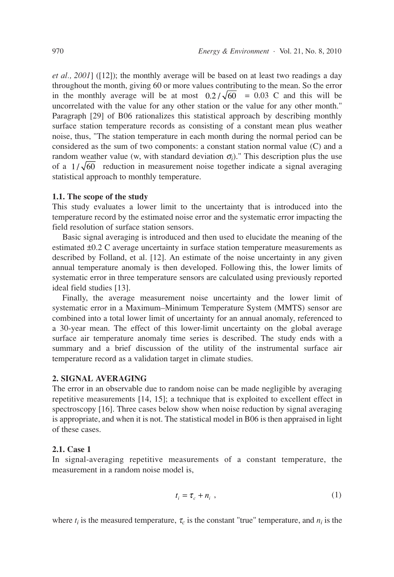*et al., 2001*] ([12]); the monthly average will be based on at least two readings a day throughout the month, giving 60 or more values contributing to the mean. So the error in the monthly average will be at most  $0.2 / \sqrt{60}$  = 0.03 C and this will be uncorrelated with the value for any other station or the value for any other month." Paragraph [29] of B06 rationalizes this statistical approach by describing monthly surface station temperature records as consisting of a constant mean plus weather noise, thus, "The station temperature in each month during the normal period can be considered as the sum of two components: a constant station normal value (C) and a random weather value (w, with standard deviation  $\sigma_i$ )." This description plus the use of a  $1/\sqrt{60}$  reduction in measurement noise together indicate a signal averaging statistical approach to monthly temperature.

#### **1.1. The scope of the study**

This study evaluates a lower limit to the uncertainty that is introduced into the temperature record by the estimated noise error and the systematic error impacting the field resolution of surface station sensors.

Basic signal averaging is introduced and then used to elucidate the meaning of the estimated ±0.2 C average uncertainty in surface station temperature measurements as described by Folland, et al. [12]. An estimate of the noise uncertainty in any given annual temperature anomaly is then developed. Following this, the lower limits of systematic error in three temperature sensors are calculated using previously reported ideal field studies [13].

Finally, the average measurement noise uncertainty and the lower limit of systematic error in a Maximum–Minimum Temperature System (MMTS) sensor are combined into a total lower limit of uncertainty for an annual anomaly, referenced to a 30-year mean. The effect of this lower-limit uncertainty on the global average surface air temperature anomaly time series is described. The study ends with a summary and a brief discussion of the utility of the instrumental surface air temperature record as a validation target in climate studies.

#### **2. SIGNAL AVERAGING**

The error in an observable due to random noise can be made negligible by averaging repetitive measurements [14, 15]; a technique that is exploited to excellent effect in spectroscopy [16]. Three cases below show when noise reduction by signal averaging is appropriate, and when it is not. The statistical model in B06 is then appraised in light of these cases.

#### **2.1. Case 1**

In signal-averaging repetitive measurements of a constant temperature, the measurement in a random noise model is,

$$
t_i = \tau_c + n_i \tag{1}
$$

where  $t_i$  is the measured temperature,  $\tau_c$  is the constant "true" temperature, and  $n_i$  is the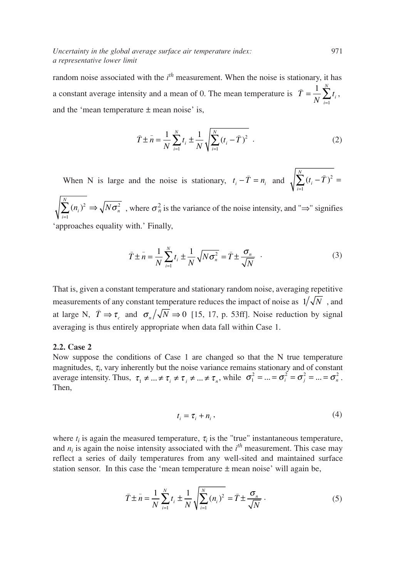random noise associated with the *i*<sup>th</sup> measurement. When the noise is stationary, it has a constant average intensity and a mean of 0. The mean temperature is  $\bar{T} = \frac{1}{N} \sum_{i=1}^{N} t_i$ , and the 'mean temperature  $\pm$  mean noise' is, *i* = 1

$$
\bar{T} \pm \bar{n} = \frac{1}{N} \sum_{i=1}^{N} t_i \pm \frac{1}{N} \sqrt{\sum_{i=1}^{N} (t_i - \bar{T})^2} .
$$
 (2)

When N is large and the noise is stationary,  $t_i - \bar{T} = n_i$  and  $\sqrt{\sum_{i=1}^{N} (t_i - \bar{T})}$  $\sum^{N} (n_i)^2 \Rightarrow \sqrt{N \sigma_n^2}$ , where  $\sigma_n^2$  is the variance of the noise intensity, and "⇒" signifies  $\sum_{i=1}^{N} (t_i - \bar{T})^2 =$  $t_i - \bar{T} = n_i$  and  $\sqrt{\sum_{i=1}^{N} (t_i - \bar{T})^2}$ 

'approaches equality with.' Finally, *i* = 1

$$
\bar{T} \pm \bar{n} = \frac{1}{N} \sum_{i=1}^{N} t_i \pm \frac{1}{N} \sqrt{N \sigma_n^2} = \bar{T} \pm \frac{\sigma_n}{\sqrt{N}} \quad . \tag{3}
$$

That is, given a constant temperature and stationary random noise, averaging repetitive measurements of any constant temperature reduces the impact of noise as  $1/\sqrt{N}$  , and at large N,  $\bar{T} \Rightarrow \tau_c$  and  $\sigma_n/\sqrt{N} \Rightarrow 0$  [15, 17, p. 53ff]. Noise reduction by signal averaging is thus entirely appropriate when data fall within Case 1.

#### **2.2. Case 2**

Now suppose the conditions of Case 1 are changed so that the N true temperature magnitudes, <sup>τ</sup>*<sup>i</sup>* , vary inherently but the noise variance remains stationary and of constant average intensity. Thus,  $\tau_1 \neq \dots \neq \tau_i \neq \tau_j \neq \dots \neq \tau_n$ , while  $\sigma_1^2 = \dots = \sigma_i^2 = \sigma_j^2 = \dots = \sigma_n^2$ . Then,

$$
t_i = \tau_i + n_i, \qquad (4)
$$

where  $t_i$  is again the measured temperature,  $\tau_i$  is the "true" instantaneous temperature, and  $n_i$  is again the noise intensity associated with the  $i^{th}$  measurement. This case may reflect a series of daily temperatures from any well-sited and maintained surface station sensor. In this case the 'mean temperature  $\pm$  mean noise' will again be,

$$
\bar{T} \pm \bar{n} = \frac{1}{N} \sum_{i=1}^{N} t_i \pm \frac{1}{N} \sqrt{\sum_{i=1}^{N} (n_i)^2} = \bar{T} \pm \frac{\sigma_n}{\sqrt{N}}.
$$
 (5)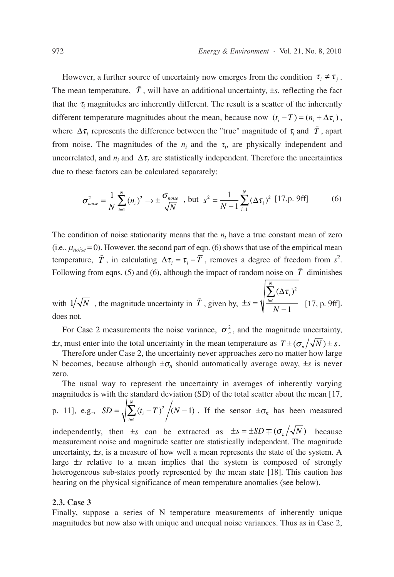However, a further source of uncertainty now emerges from the condition  $\tau_i \neq \tau_j$ . The mean temperature,  $\bar{T}$ , will have an additional uncertainty,  $\pm s$ , reflecting the fact that the  $\tau_i$  magnitudes are inherently different. The result is a scatter of the inherently different temperature magnitudes about the mean, because now  $(t_i - T) = (n_i + \Delta \tau_i)$ , where  $\Delta \tau_i$  represents the difference between the "true" magnitude of  $\tau_i$  and  $\bar{T}$ , apart from noise. The magnitudes of the  $n_i$  and the  $\tau_i$ , are physically independent and uncorrelated, and  $n_i$  and  $\Delta \tau_i$  are statistically independent. Therefore the uncertainties due to these factors can be calculated separately:

$$
\sigma_{noise}^2 = \frac{1}{N} \sum_{i=1}^{N} (n_i)^2 \to \pm \frac{\sigma_{noise}}{\sqrt{N}} \text{ , but } s^2 = \frac{1}{N-1} \sum_{i=1}^{N} (\Delta \tau_i)^2 \text{ [17,p. 9ff]} \tag{6}
$$

The condition of noise stationarity means that the  $n_i$  have a true constant mean of zero (i.e.,  $\mu_{noise} = 0$ ). However, the second part of eqn. (6) shows that use of the empirical mean temperature,  $\overline{T}$ , in calculating  $\Delta \tau_i = \tau_i - \overline{T}$ , removes a degree of freedom from *s*<sup>2</sup>. Following from eqns. (5) and (6), although the impact of random noise on  $\overline{T}$  diminishes

with  $1/\sqrt{N}$ , the magnitude uncertainty in  $\overline{T}$ , given by,  $\pm s = \sqrt{\frac{\sum_{i=1}^{n} (\Delta \tau_i)^2}{N-1}}$  [17, p. 9ff], does not.  $s = \sqrt{\frac{i=1}{N}}$  $\sum_{i=1}$   $\sum_{i=1}$  $\sum^N \left(\Delta \pmb{\tau}_i \right)^2$ 1  $1/\sqrt{N}$ , the magnitude uncertainty in  $\overline{T}$ , given by,  $\pm s = \sqrt{\frac{m}{N-1}}$ 

For Case 2 measurements the noise variance,  $\sigma_n^2$ , and the magnitude uncertainty,  $\pm s$ , must enter into the total uncertainty in the mean temperature as  $\bar{T} \pm (\sigma_n / \sqrt{N}) \pm s$ .

Therefore under Case 2, the uncertainty never approaches zero no matter how large N becomes, because although  $\pm \sigma_n$  should automatically average away,  $\pm s$  is never zero.

The usual way to represent the uncertainty in averages of inherently varying magnitudes is with the standard deviation (SD) of the total scatter about the mean [17, *N*

p. 11], e.g., 
$$
SD = \sqrt{\sum_{i=1}^{N} (t_i - \bar{T})^2} / (N - 1)
$$
. If the sensor  $\pm \sigma_n$  has been measured

independently, then  $\pm s$  can be extracted as  $\pm s = \pm SD \mp (\sigma_n / \sqrt{N})$  because measurement noise and magnitude scatter are statistically independent. The magnitude uncertainty, ±*s*, is a measure of how well a mean represents the state of the system. A large ±*s* relative to a mean implies that the system is composed of strongly heterogeneous sub-states poorly represented by the mean state [18]. This caution has bearing on the physical significance of mean temperature anomalies (see below).

#### **2.3. Case 3**

Finally, suppose a series of N temperature measurements of inherently unique magnitudes but now also with unique and unequal noise variances. Thus as in Case 2,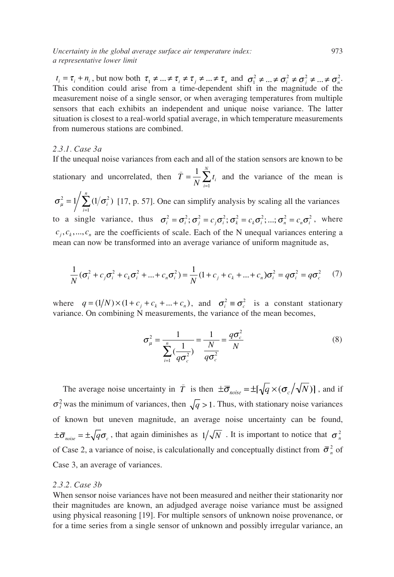$\tau_i = \tau_i + n_i$ , but now both  $\tau_1 \neq ... \neq \tau_i \neq \tau_j \neq ... \neq \tau_n$  and  $\sigma_1^2 \neq ... \neq \sigma_i^2 \neq \sigma_j^2 \neq ... \neq \sigma_n^2$ . This condition could arise from a time-dependent shift in the magnitude of the measurement noise of a single sensor, or when averaging temperatures from multiple sensors that each exhibits an independent and unique noise variance. The latter situation is closest to a real-world spatial average, in which temperature measurements from numerous stations are combined.

#### *2.3.1. Case 3a*

If the unequal noise variances from each and all of the station sensors are known to be

stationary and uncorrelated, then  $T = \frac{1}{N} \sum_{i=1}^{N} t_i$  and the variance of the mean is  $\bar{r} = \frac{1}{N} \sum_{i=1}^{N}$  $\frac{1}{N}\sum_{i=1}^N$ 

 $\sigma_{\mu}^2 = 1/\sum (1/\sigma_i^2)$  [17, p. 57]. One can simplify analysis by scaling all the variances to a single variance, thus  $\sigma_i^2 = \sigma_i^2$ ;  $\sigma_j^2 = c_j \sigma_i^2$ ;  $\sigma_k^2 = c_k \sigma_i^2$ ; ...;  $\sigma_n^2 = c_n \sigma_i^2$ , where  $c_j, c_k, \ldots, c_n$  are the coefficients of scale. Each of the N unequal variances entering a mean can now be transformed into an average variance of uniform magnitude as, 1  $= 1 / \sum (1$  $\sum_{i=1}^{\infty}(1/\sigma_i^2)$ *n*

$$
\frac{1}{N}(\sigma_i^2 + c_j \sigma_i^2 + c_k \sigma_i^2 + \dots + c_n \sigma_i^2) = \frac{1}{N} (1 + c_j + c_k + \dots + c_n) \sigma_i^2 = q \sigma_i^2 = q \sigma_c^2 \tag{7}
$$

where  $q = (1/N) \times (1 + c_j + c_k + ... + c_n)$ , and  $\sigma_i^2 \equiv \sigma_c^2$  is a constant stationary variance. On combining N measurements, the variance of the mean becomes,

$$
\sigma_{\mu}^{2} = \frac{1}{\sum_{i=1}^{n} (\frac{1}{q\sigma_{c}^{2}})} = \frac{1}{\frac{N}{q\sigma_{c}^{2}}} = \frac{q\sigma_{c}^{2}}{N}
$$
(8)

The average noise uncertainty in  $\bar{T}$  is then  $\pm \bar{\sigma}_{noise} = \pm [\sqrt{q} \times (\sigma_c/\sqrt{N})]$ , and if  $\sigma_i^2$  was the minimum of variances, then  $\sqrt{q} > 1$ . Thus, with stationary noise variances of known but uneven magnitude, an average noise uncertainty can be found,  $\pm \bar{\sigma}_{noise} = \pm \sqrt{q} \sigma_c$ , that again diminishes as  $1/\sqrt{N}$ . It is important to notice that  $\sigma_n^2$ of Case 2, a variance of noise, is calculationally and conceptually distinct from  $\bar{\sigma}_n^2$  of Case 3, an average of variances.

#### *2.3.2. Case 3b*

When sensor noise variances have not been measured and neither their stationarity nor their magnitudes are known, an adjudged average noise variance must be assigned using physical reasoning [19]. For multiple sensors of unknown noise provenance, or for a time series from a single sensor of unknown and possibly irregular variance, an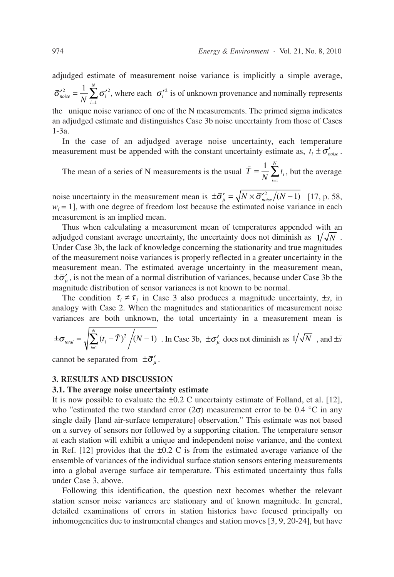adjudged estimate of measurement noise variance is implicitly a simple average,  $\sigma_i^{2} = \frac{1}{N} \sum_j \sigma_i'^2$ , where each  $\sigma_i'^2$  is of unknown provenance and nominally represents the unique noise variance of one of the N measurements. The primed sigma indicates  $\bar{\sigma}'^2_{noise} = \frac{1}{N} \sum_{i=1}^N \sigma'_i$ *N* 2  $\frac{1}{2}$   $\sum \pi'^2$ 1 1

an adjudged estimate and distinguishes Case 3b noise uncertainty from those of Cases 1-3a.

In the case of an adjudged average noise uncertainty, each temperature measurement must be appended with the constant uncertainty estimate as,  $t_i \pm \bar{\sigma}'_{noise}$ .

The mean of a series of N measurements is the usual  $T = \frac{1}{N} \sum_{i=1}^{N} t_i$ , but the average  $\bar{r} = \frac{1}{N} \sum_{i=1}^{N}$  $\frac{1}{N}\sum_{i=1}^N$ 

noise uncertainty in the measurement mean is  $\pm \bar{\sigma}'_{\mu} = \sqrt{N \times \bar{\sigma}'_{noise}} / (N-1)$  [17, p. 58,  $w_i = 1$ , with one degree of freedom lost because the estimated noise variance in each measurement is an implied mean.

Thus when calculating a measurement mean of temperatures appended with an adjudged constant average uncertainty, the uncertainty does not diminish as  $1/\sqrt{N}$ . Under Case 3b, the lack of knowledge concerning the stationarity and true magnitudes of the measurement noise variances is properly reflected in a greater uncertainty in the measurement mean. The estimated average uncertainty in the measurement mean,  $\pm \bar{\sigma}'_{\mu}$ , is not the mean of a normal distribution of variances, because under Case 3b the magnitude distribution of sensor variances is not known to be normal.

The condition  $\tau_i \neq \tau_j$  in Case 3 also produces a magnitude uncertainty,  $\pm s$ , in analogy with Case 2. When the magnitudes and stationarities of measurement noise variances are both unknown, the total uncertainty in a measurement mean is

$$
\pm \overline{\sigma}_{\text{total}} = \sqrt{\sum_{i=1}^{N} (t_i - \overline{T})^2 / (N - 1)} \text{ . In Case 3b, } \pm \overline{\sigma}_{\mu}^{\prime} \text{ does not diminish as } 1/\sqrt{N} \text{ , and } \pm \overline{s}
$$

cannot be separated from  $\pm \bar{\sigma}'_{\mu}$ .

#### **3. RESULTS AND DISCUSSION**

#### **3.1. The average noise uncertainty estimate**

It is now possible to evaluate the  $\pm 0.2$  C uncertainty estimate of Folland, et al. [12], who "estimated the two standard error ( $2\sigma$ ) measurement error to be 0.4 °C in any single daily [land air-surface temperature] observation." This estimate was not based on a survey of sensors nor followed by a supporting citation. The temperature sensor at each station will exhibit a unique and independent noise variance, and the context in Ref. [12] provides that the  $\pm 0.2$  C is from the estimated average variance of the ensemble of variances of the individual surface station sensors entering measurements into a global average surface air temperature. This estimated uncertainty thus falls under Case 3, above.

Following this identification, the question next becomes whether the relevant station sensor noise variances are stationary and of known magnitude. In general, detailed examinations of errors in station histories have focused principally on inhomogeneities due to instrumental changes and station moves [3, 9, 20-24], but have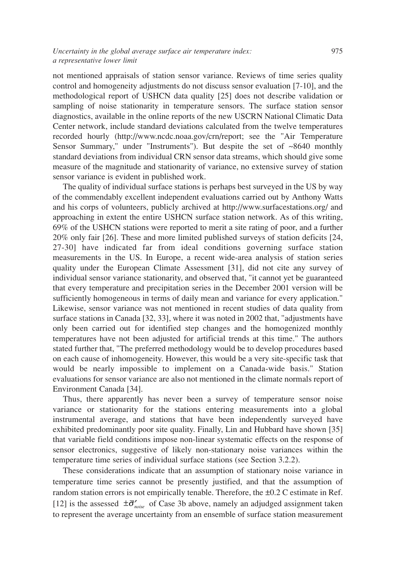not mentioned appraisals of station sensor variance. Reviews of time series quality control and homogeneity adjustments do not discuss sensor evaluation [7-10], and the methodological report of USHCN data quality [25] does not describe validation or sampling of noise stationarity in temperature sensors. The surface station sensor diagnostics, available in the online reports of the new USCRN National Climatic Data Center network, include standard deviations calculated from the twelve temperatures recorded hourly (http://www.ncdc.noaa.gov/crn/report; see the "Air Temperature Sensor Summary," under "Instruments"). But despite the set of ~8640 monthly standard deviations from individual CRN sensor data streams, which should give some measure of the magnitude and stationarity of variance, no extensive survey of station sensor variance is evident in published work.

The quality of individual surface stations is perhaps best surveyed in the US by way of the commendably excellent independent evaluations carried out by Anthony Watts and his corps of volunteers, publicly archived at http://www.surfacestations.org/ and approaching in extent the entire USHCN surface station network. As of this writing, 69% of the USHCN stations were reported to merit a site rating of poor, and a further 20% only fair [26]. These and more limited published surveys of station deficits [24, 27-30] have indicated far from ideal conditions governing surface station measurements in the US. In Europe, a recent wide-area analysis of station series quality under the European Climate Assessment [31], did not cite any survey of individual sensor variance stationarity, and observed that, "it cannot yet be guaranteed that every temperature and precipitation series in the December 2001 version will be sufficiently homogeneous in terms of daily mean and variance for every application." Likewise, sensor variance was not mentioned in recent studies of data quality from surface stations in Canada [32, 33], where it was noted in 2002 that, "adjustments have only been carried out for identified step changes and the homogenized monthly temperatures have not been adjusted for artificial trends at this time." The authors stated further that, "The preferred methodology would be to develop procedures based on each cause of inhomogeneity. However, this would be a very site-specific task that would be nearly impossible to implement on a Canada-wide basis." Station evaluations for sensor variance are also not mentioned in the climate normals report of Environment Canada [34].

Thus, there apparently has never been a survey of temperature sensor noise variance or stationarity for the stations entering measurements into a global instrumental average, and stations that have been independently surveyed have exhibited predominantly poor site quality. Finally, Lin and Hubbard have shown [35] that variable field conditions impose non-linear systematic effects on the response of sensor electronics, suggestive of likely non-stationary noise variances within the temperature time series of individual surface stations (see Section 3.2.2).

These considerations indicate that an assumption of stationary noise variance in temperature time series cannot be presently justified, and that the assumption of random station errors is not empirically tenable. Therefore, the ±0.2 C estimate in Ref. [12] is the assessed  $\pm \overline{\sigma}_{noise}$  of Case 3b above, namely an adjudged assignment taken to represent the average uncertainty from an ensemble of surface station measurement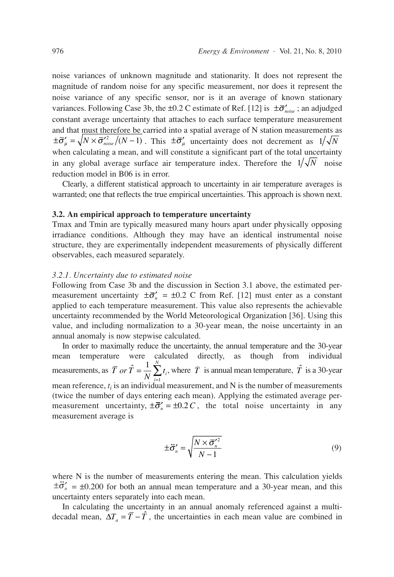noise variances of unknown magnitude and stationarity. It does not represent the magnitude of random noise for any specific measurement, nor does it represent the noise variance of any specific sensor, nor is it an average of known stationary variances. Following Case 3b, the  $\pm 0.2$  C estimate of Ref. [12] is  $\pm \overline{\sigma}_{noise}$ ; an adjudged constant average uncertainty that attaches to each surface temperature measurement and that must therefore be carried into a spatial average of N station measurements as  $\pm \bar{\sigma}'_{\mu} = \sqrt{N \times \bar{\sigma}'_{noise}}/(N-1)$ . This  $\pm \bar{\sigma}'_{\mu}$  uncertainty does not decrement as  $1/\sqrt{N}$ when calculating a mean, and will constitute a significant part of the total uncertainty in any global average surface air temperature index. Therefore the  $1/\sqrt{N}$  noise reduction model in B06 is in error.

Clearly, a different statistical approach to uncertainty in air temperature averages is warranted; one that reflects the true empirical uncertainties. This approach is shown next.

#### **3.2. An empirical approach to temperature uncertainty**

Tmax and Tmin are typically measured many hours apart under physically opposing irradiance conditions. Although they may have an identical instrumental noise structure, they are experimentally independent measurements of physically different observables, each measured separately.

#### *3.2.1. Uncertainty due to estimated noise*

Following from Case 3b and the discussion in Section 3.1 above, the estimated permeasurement uncertainty  $\pm \bar{\sigma}'_n = \pm 0.2$  C from Ref. [12] must enter as a constant applied to each temperature measurement. This value also represents the achievable uncertainty recommended by the World Meteorological Organization [36]. Using this value, and including normalization to a 30-year mean, the noise uncertainty in an annual anomaly is now stepwise calculated.

In order to maximally reduce the uncertainty, the annual temperature and the 30-year mean temperature were calculated directly, as though from individual measurements, as  $\overline{T}$  *or*  $\hat{T} = \frac{1}{N} \sum_{i=1}^{N} t_i$ , where  $\overline{T}$  is annual mean temperature,  $\hat{T}$  is a 30-year mean reference,  $t_i$  is an individual measurement, and  $N$  is the number of measurements (twice the number of days entering each mean). Applying the estimated average permeasurement uncertainty,  $\pm \overline{\sigma}'_n = \pm 0.2 C$ , the total noise uncertainty in any measurement average is *or*  $\hat{T} = \frac{1}{N} \sum_{i=1}^{N}$  $\frac{1}{N}\sum_{i=1}^N$ 

$$
\pm \vec{\sigma}'_n = \sqrt{\frac{N \times \vec{\sigma}'^2_n}{N-1}}
$$
(9)

where N is the number of measurements entering the mean. This calculation yields  $\pm \vec{\sigma}'_n = \pm 0.200$  for both an annual mean temperature and a 30-year mean, and this uncertainty enters separately into each mean.

In calculating the uncertainty in an annual anomaly referenced against a multidecadal mean,  $\Delta T_a = \overline{T} - \hat{T}$ , the uncertainties in each mean value are combined in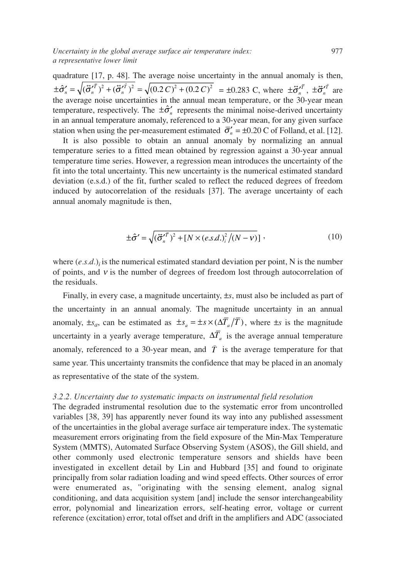quadrature [17, p. 48]. The average noise uncertainty in the annual anomaly is then,  $\pm \hat{\sigma}'_n = \sqrt{(\hat{\sigma}'_n^{\tau})^2 + (\hat{\sigma}'_n^{\tau})^2} = \sqrt{(0.2 C)^2 + (0.2 C)^2} = \pm 0.283 \text{ C, where } \pm \vec{\sigma}'_n^{\tau}$ ,  $\pm \vec{\sigma}'_n^{\tau}$  are the average noise uncertainties in the annual mean temperature, or the 30-year mean temperature, respectively. The  $\pm \hat{\sigma}'_n$  represents the minimal noise-derived uncertainty in an annual temperature anomaly, referenced to a 30-year mean, for any given surface station when using the per-measurement estimated  $\bar{\sigma}'_n = \pm 0.20$  C of Folland, et al. [12].

It is also possible to obtain an annual anomaly by normalizing an annual temperature series to a fitted mean obtained by regression against a 30-year annual temperature time series. However, a regression mean introduces the uncertainty of the fit into the total uncertainty. This new uncertainty is the numerical estimated standard deviation (e.s.d.) of the fit, further scaled to reflect the reduced degrees of freedom induced by autocorrelation of the residuals [37]. The average uncertainty of each annual anomaly magnitude is then,

$$
\pm \hat{\sigma}' = \sqrt{(\vec{\sigma}_n'^T)^2 + [N \times (e.s.d.)_i^2/(N - v)]},
$$
\n(10)

where  $(e.s.d.)$ *i* is the numerical estimated standard deviation per point, N is the number of points, and  $v$  is the number of degrees of freedom lost through autocorrelation of the residuals.

Finally, in every case, a magnitude uncertainty, ±*s*, must also be included as part of the uncertainty in an annual anomaly. The magnitude uncertainty in an annual anomaly,  $\pm s_a$ , can be estimated as  $\pm s_a = \pm s \times (\Delta T_a/T)$ , where  $\pm s$  is the magnitude uncertainty in a yearly average temperature,  $\Delta T_a$  is the average annual temperature anomaly, referenced to a 30-year mean, and  $\overline{T}$  is the average temperature for that same year. This uncertainty transmits the confidence that may be placed in an anomaly as representative of the state of the system.

## *3.2.2. Uncertainty due to systematic impacts on instrumental field resolution*

The degraded instrumental resolution due to the systematic error from uncontrolled variables [38, 39] has apparently never found its way into any published assessment of the uncertainties in the global average surface air temperature index. The systematic measurement errors originating from the field exposure of the Min-Max Temperature System (MMTS), Automated Surface Observing System (ASOS), the Gill shield, and other commonly used electronic temperature sensors and shields have been investigated in excellent detail by Lin and Hubbard [35] and found to originate principally from solar radiation loading and wind speed effects. Other sources of error were enumerated as, "originating with the sensing element, analog signal conditioning, and data acquisition system [and] include the sensor interchangeability error, polynomial and linearization errors, self-heating error, voltage or current reference (excitation) error, total offset and drift in the amplifiers and ADC (associated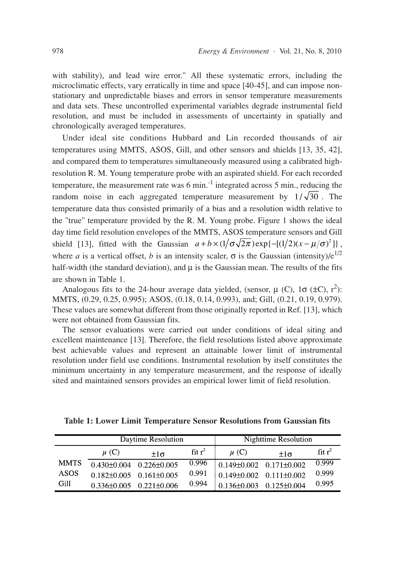with stability), and lead wire error." All these systematic errors, including the microclimatic effects, vary erratically in time and space [40-45], and can impose nonstationary and unpredictable biases and errors in sensor temperature measurements and data sets. These uncontrolled experimental variables degrade instrumental field resolution, and must be included in assessments of uncertainty in spatially and chronologically averaged temperatures.

Under ideal site conditions Hubbard and Lin recorded thousands of air temperatures using MMTS, ASOS, Gill, and other sensors and shields [13, 35, 42], and compared them to temperatures simultaneously measured using a calibrated highresolution R. M. Young temperature probe with an aspirated shield. For each recorded temperature, the measurement rate was  $6 \text{ min.}^{-1}$  integrated across  $5 \text{ min.}$ , reducing the random noise in each aggregated temperature measurement by  $1/\sqrt{30}$ . The temperature data thus consisted primarily of a bias and a resolution width relative to the "true" temperature provided by the R. M. Young probe. Figure 1 shows the ideal day time field resolution envelopes of the MMTS, ASOS temperature sensors and Gill shield [13], fitted with the Gaussian  $a + b \times (1/\sigma \sqrt{2\pi}) \exp\{-[(1/2)(x - \mu/\sigma)^2]\}$ , where *a* is a vertical offset, *b* is an intensity scaler,  $\sigma$  is the Gaussian (intensity)/ $e^{1/2}$ half-width (the standard deviation), and  $\mu$  is the Gaussian mean. The results of the fits are shown in Table 1.

Analogous fits to the 24-hour average data yielded, (sensor,  $\mu$  (C), 1 $\sigma$  (±C), r<sup>2</sup>): MMTS, (0.29, 0.25, 0.995); ASOS, (0.18, 0.14, 0.993), and; Gill, (0.21, 0.19, 0.979). These values are somewhat different from those originally reported in Ref. [13], which were not obtained from Gaussian fits.

The sensor evaluations were carried out under conditions of ideal siting and excellent maintenance [13]. Therefore, the field resolutions listed above approximate best achievable values and represent an attainable lower limit of instrumental resolution under field use conditions. Instrumental resolution by itself constitutes the minimum uncertainty in any temperature measurement, and the response of ideally sited and maintained sensors provides an empirical lower limit of field resolution.

|             |                                     | Daytime Resolution | Nighttime Resolution |                                 |                                     |                   |
|-------------|-------------------------------------|--------------------|----------------------|---------------------------------|-------------------------------------|-------------------|
|             | $\mu$ (C)                           | $+1\sigma$         | $fit -1$             | $\mu$ (C)                       | $+1\sigma$                          | fitr <sup>2</sup> |
| <b>MMTS</b> | $0.430 + 0.004$ $0.226 + 0.005$     |                    | 0.996                |                                 | $0.149\pm0.002$ $0.171\pm0.002$     | 0.999             |
| <b>ASOS</b> | $0.182 \pm 0.005$ $0.161 \pm 0.005$ |                    | 0.991                |                                 | $0.149 \pm 0.002$ $0.111 \pm 0.002$ | 0.999             |
| Gill        | $0.336\pm0.005$ $0.221\pm0.006$     |                    | 0.994                | $0.136 + 0.003$ $0.125 + 0.004$ |                                     | 0.995             |

**Table 1: Lower Limit Temperature Sensor Resolutions from Gaussian fits**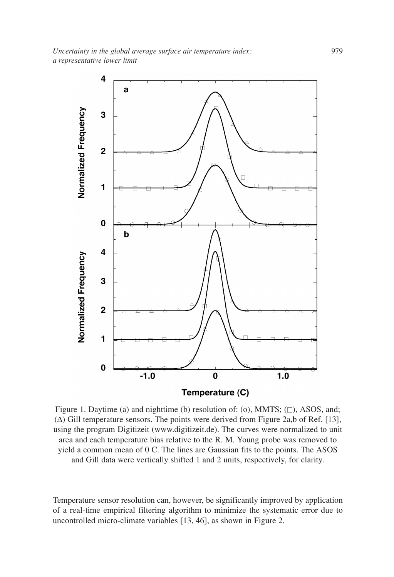

Figure 1. Daytime (a) and nighttime (b) resolution of: (o), MMTS;  $(\square)$ , ASOS, and; (∆) Gill temperature sensors. The points were derived from Figure 2a,b of Ref. [13], using the program Digitizeit (www.digitizeit.de). The curves were normalized to unit area and each temperature bias relative to the R. M. Young probe was removed to yield a common mean of 0 C. The lines are Gaussian fits to the points. The ASOS and Gill data were vertically shifted 1 and 2 units, respectively, for clarity.

Temperature sensor resolution can, however, be significantly improved by application of a real-time empirical filtering algorithm to minimize the systematic error due to uncontrolled micro-climate variables [13, 46], as shown in Figure 2.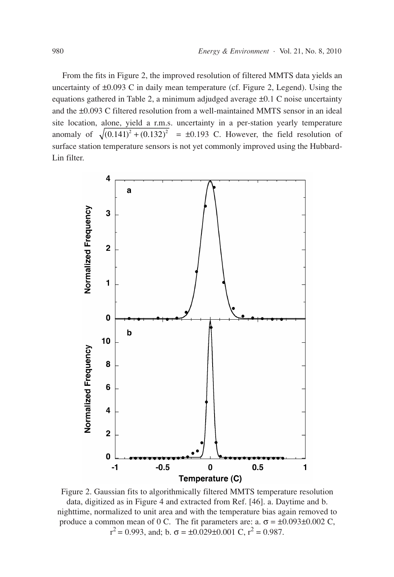From the fits in Figure 2, the improved resolution of filtered MMTS data yields an uncertainty of ±0.093 C in daily mean temperature (cf. Figure 2, Legend). Using the equations gathered in Table 2, a minimum adjudged average ±0.1 C noise uncertainty and the ±0.093 C filtered resolution from a well-maintained MMTS sensor in an ideal site location, alone, yield a r.m.s. uncertainty in a per-station yearly temperature anomaly of  $\sqrt{(0.141)^2 + (0.132)^2} = \pm 0.193$  C. However, the field resolution of surface station temperature sensors is not yet commonly improved using the Hubbard-Lin filter.



Figure 2. Gaussian fits to algorithmically filtered MMTS temperature resolution

data, digitized as in Figure 4 and extracted from Ref. [46]. a. Daytime and b. nighttime, normalized to unit area and with the temperature bias again removed to produce a common mean of 0 C. The fit parameters are: a.  $\sigma = \pm 0.093 \pm 0.002$  C,  $r^2 = 0.993$ , and; b.  $\sigma = \pm 0.029 \pm 0.001$  C,  $r^2 = 0.987$ .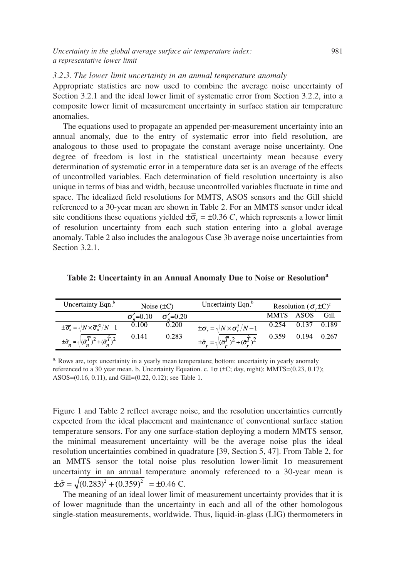*Uncertainty in the global average surface air temperature index:* 981 *a representative lower limit*

#### *3.2.3. The lower limit uncertainty in an annual temperature anomaly*

Appropriate statistics are now used to combine the average noise uncertainty of Section 3.2.1 and the ideal lower limit of systematic error from Section 3.2.2, into a composite lower limit of measurement uncertainty in surface station air temperature anomalies.

The equations used to propagate an appended per-measurement uncertainty into an annual anomaly, due to the entry of systematic error into field resolution, are analogous to those used to propagate the constant average noise uncertainty. One degree of freedom is lost in the statistical uncertainty mean because every determination of systematic error in a temperature data set is an average of the effects of uncontrolled variables. Each determination of field resolution uncertainty is also unique in terms of bias and width, because uncontrolled variables fluctuate in time and space. The idealized field resolutions for MMTS, ASOS sensors and the Gill shield referenced to a 30-year mean are shown in Table 2. For an MMTS sensor under ideal site conditions these equations yielded  $\pm \overline{\sigma}_r = \pm 0.36$  *C*, which represents a lower limit of resolution uncertainty from each such station entering into a global average anomaly. Table 2 also includes the analogous Case 3b average noise uncertainties from Section 3.2.1.

|  | Table 2: Uncertainty in an Annual Anomaly Due to Noise or Resolution <sup>a</sup> |
|--|-----------------------------------------------------------------------------------|
|  |                                                                                   |
|  |                                                                                   |

| Uncertainty Eqn. <sup>b</sup>                                                      | Noise $(\pm C)$             |                             | Uncertainty Eqn. <sup>b</sup>                                             | Resolution ( $\sigma \pm C$ ) <sup>c</sup> |       |       |
|------------------------------------------------------------------------------------|-----------------------------|-----------------------------|---------------------------------------------------------------------------|--------------------------------------------|-------|-------|
|                                                                                    | $\overline{\sigma}' = 0.10$ | $\overline{\sigma}' = 0.20$ |                                                                           | <b>MMTS</b>                                | ASOS  | Gill  |
| $\pm \overline{\sigma}_n' = \sqrt{N \times \overline{\sigma}_n'^2/N - 1}$          | 0.100                       | 0.200                       | $\pm \overline{\sigma}_r = \sqrt{N \times \sigma_r^2/N - 1}$              | 0.254                                      | 0.137 | 0.189 |
| $\pm \hat{\sigma}_n^{\prime} = \sqrt{(\vec{\sigma}_n^T)^2 + (\vec{\sigma}_n^T)^2}$ | 0.141                       | 0.283                       | $\pm \hat{\sigma}_r = \sqrt{(\vec{\sigma}_r^T)^2 + (\vec{\sigma}_r^T)^2}$ | 0.359                                      | 0.194 | 0.267 |

<sup>a.</sup> Rows are, top: uncertainty in a yearly mean temperature; bottom: uncertainty in yearly anomaly referenced to a 30 year mean. b. Uncertainty Equation. c. 1σ (±C; day, night): MMTS=(0.23, 0.17); ASOS=(0.16, 0.11), and Gill=(0.22, 0.12); see Table 1.

Figure 1 and Table 2 reflect average noise, and the resolution uncertainties currently expected from the ideal placement and maintenance of conventional surface station temperature sensors. For any one surface-station deploying a modern MMTS sensor, the minimal measurement uncertainty will be the average noise plus the ideal resolution uncertainties combined in quadrature [39, Section 5, 47]. From Table 2, for an MMTS sensor the total noise plus resolution lower-limit 1σ measurement uncertainty in an annual temperature anomaly referenced to a 30-year mean is  $\pm \hat{\sigma} = \sqrt{(0.283)^2 + (0.359)^2} = \pm 0.46 \text{ C}.$ 

The meaning of an ideal lower limit of measurement uncertainty provides that it is of lower magnitude than the uncertainty in each and all of the other homologous single-station measurements, worldwide. Thus, liquid-in-glass (LIG) thermometers in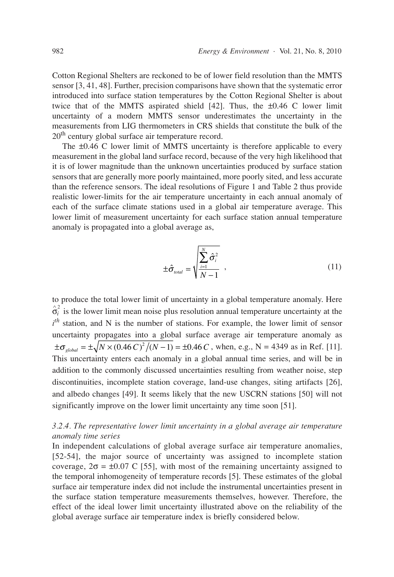Cotton Regional Shelters are reckoned to be of lower field resolution than the MMTS sensor [3, 41, 48]. Further, precision comparisons have shown that the systematic error introduced into surface station temperatures by the Cotton Regional Shelter is about twice that of the MMTS aspirated shield  $[42]$ . Thus, the  $\pm 0.46$  C lower limit uncertainty of a modern MMTS sensor underestimates the uncertainty in the measurements from LIG thermometers in CRS shields that constitute the bulk of the 20<sup>th</sup> century global surface air temperature record.

The ±0.46 C lower limit of MMTS uncertainty is therefore applicable to every measurement in the global land surface record, because of the very high likelihood that it is of lower magnitude than the unknown uncertainties produced by surface station sensors that are generally more poorly maintained, more poorly sited, and less accurate than the reference sensors. The ideal resolutions of Figure 1 and Table 2 thus provide realistic lower-limits for the air temperature uncertainty in each annual anomaly of each of the surface climate stations used in a global air temperature average. This lower limit of measurement uncertainty for each surface station annual temperature anomaly is propagated into a global average as,

$$
\pm \hat{\sigma}_{\text{total}} = \sqrt{\sum_{i=1}^{N} \hat{\sigma}_{i}^{2} \over N - 1} \tag{11}
$$

to produce the total lower limit of uncertainty in a global temperature anomaly. Here  $\hat{\sigma}_i^2$  is the lower limit mean noise plus resolution annual temperature uncertainty at the *i*<sup>th</sup> station, and N is the number of stations. For example, the lower limit of sensor uncertainty propagates into a global surface average air temperature anomaly as  $\pm \sigma_{global} = \pm \sqrt{N \times (0.46 \, C)^2 / (N-1)} = \pm 0.46 \, C$ , when, e.g., N = 4349 as in Ref. [11]. This uncertainty enters each anomaly in a global annual time series, and will be in addition to the commonly discussed uncertainties resulting from weather noise, step discontinuities, incomplete station coverage, land-use changes, siting artifacts [26], and albedo changes [49]. It seems likely that the new USCRN stations [50] will not significantly improve on the lower limit uncertainty any time soon [51].

# *3.2.4. The representative lower limit uncertainty in a global average air temperature anomaly time series*

In independent calculations of global average surface air temperature anomalies, [52-54], the major source of uncertainty was assigned to incomplete station coverage,  $2\sigma = \pm 0.07$  C [55], with most of the remaining uncertainty assigned to the temporal inhomogeneity of temperature records [5]. These estimates of the global surface air temperature index did not include the instrumental uncertainties present in the surface station temperature measurements themselves, however. Therefore, the effect of the ideal lower limit uncertainty illustrated above on the reliability of the global average surface air temperature index is briefly considered below.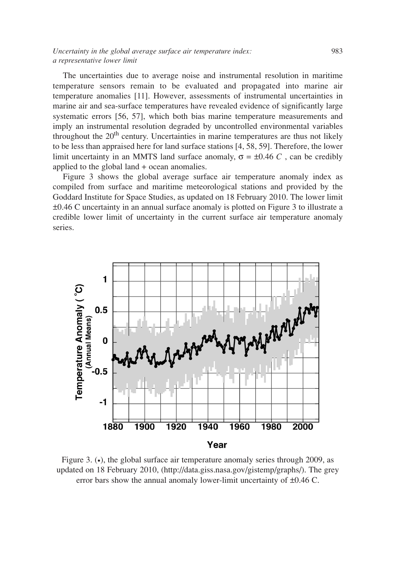The uncertainties due to average noise and instrumental resolution in maritime temperature sensors remain to be evaluated and propagated into marine air temperature anomalies [11]. However, assessments of instrumental uncertainties in marine air and sea-surface temperatures have revealed evidence of significantly large systematic errors [56, 57], which both bias marine temperature measurements and imply an instrumental resolution degraded by uncontrolled environmental variables throughout the  $20<sup>th</sup>$  century. Uncertainties in marine temperatures are thus not likely to be less than appraised here for land surface stations [4, 58, 59]. Therefore, the lower limit uncertainty in an MMTS land surface anomaly,  $\sigma = \pm 0.46 C$ , can be credibly applied to the global land + ocean anomalies.

Figure 3 shows the global average surface air temperature anomaly index as compiled from surface and maritime meteorological stations and provided by the Goddard Institute for Space Studies, as updated on 18 February 2010. The lower limit ±0.46 C uncertainty in an annual surface anomaly is plotted on Figure 3 to illustrate a credible lower limit of uncertainty in the current surface air temperature anomaly series.



Figure 3. (•), the global surface air temperature anomaly series through 2009, as updated on 18 February 2010, (http://data.giss.nasa.gov/gistemp/graphs/). The grey error bars show the annual anomaly lower-limit uncertainty of ±0.46 C.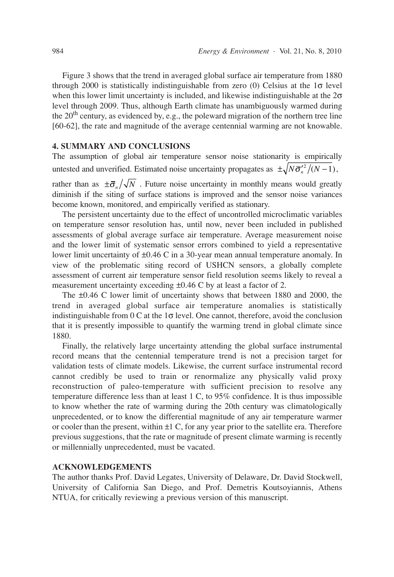Figure 3 shows that the trend in averaged global surface air temperature from 1880 through 2000 is statistically indistinguishable from zero (0) Celsius at the  $1\sigma$  level when this lower limit uncertainty is included, and likewise indistinguishable at the  $2\sigma$ level through 2009. Thus, although Earth climate has unambiguously warmed during the 20<sup>th</sup> century, as evidenced by, e.g., the poleward migration of the northern tree line [60-62], the rate and magnitude of the average centennial warming are not knowable.

#### **4. SUMMARY AND CONCLUSIONS**

The assumption of global air temperature sensor noise stationarity is empirically untested and unverified. Estimated noise uncertainty propagates as  $\pm \sqrt{N \bar{\sigma}_{n}^2/(N-1)}$ ,

rather than as  $\pm \bar{\sigma}_n / \sqrt{N}$ . Future noise uncertainty in monthly means would greatly diminish if the siting of surface stations is improved and the sensor noise variances become known, monitored, and empirically verified as stationary.

The persistent uncertainty due to the effect of uncontrolled microclimatic variables on temperature sensor resolution has, until now, never been included in published assessments of global average surface air temperature. Average measurement noise and the lower limit of systematic sensor errors combined to yield a representative lower limit uncertainty of ±0.46 C in a 30-year mean annual temperature anomaly. In view of the problematic siting record of USHCN sensors, a globally complete assessment of current air temperature sensor field resolution seems likely to reveal a measurement uncertainty exceeding ±0.46 C by at least a factor of 2.

The ±0.46 C lower limit of uncertainty shows that between 1880 and 2000, the trend in averaged global surface air temperature anomalies is statistically indistinguishable from  $0 \text{ C}$  at the  $1\sigma$  level. One cannot, therefore, avoid the conclusion that it is presently impossible to quantify the warming trend in global climate since 1880.

Finally, the relatively large uncertainty attending the global surface instrumental record means that the centennial temperature trend is not a precision target for validation tests of climate models. Likewise, the current surface instrumental record cannot credibly be used to train or renormalize any physically valid proxy reconstruction of paleo-temperature with sufficient precision to resolve any temperature difference less than at least 1 C, to 95% confidence. It is thus impossible to know whether the rate of warming during the 20th century was climatologically unprecedented, or to know the differential magnitude of any air temperature warmer or cooler than the present, within  $\pm 1$  C, for any year prior to the satellite era. Therefore previous suggestions, that the rate or magnitude of present climate warming is recently or millennially unprecedented, must be vacated.

## **ACKNOWLEDGEMENTS**

The author thanks Prof. David Legates, University of Delaware, Dr. David Stockwell, University of California San Diego, and Prof. Demetris Koutsoyiannis, Athens NTUA, for critically reviewing a previous version of this manuscript.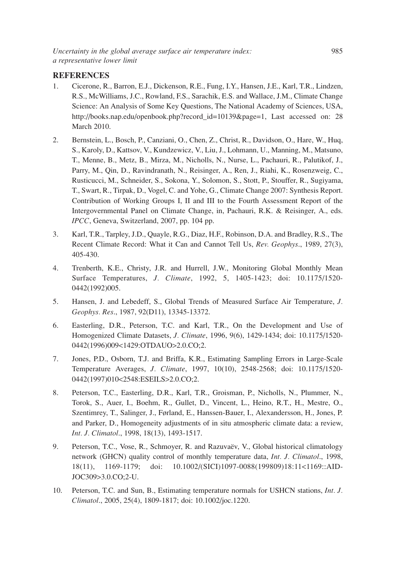# **REFERENCES**

- 1. Cicerone, R., Barron, E.J., Dickenson, R.E., Fung, I.Y., Hansen, J.E., Karl, T.R., Lindzen, R.S., McWilliams, J.C., Rowland, F.S., Sarachik, E.S. and Wallace, J.M., Climate Change Science: An Analysis of Some Key Questions, The National Academy of Sciences, USA, http://books.nap.edu/openbook.php?record\_id=10139&page=1, Last accessed on: 28 March 2010.
- 2. Bernstein, L., Bosch, P., Canziani, O., Chen, Z., Christ, R., Davidson, O., Hare, W., Huq, S., Karoly, D., Kattsov, V., Kundzewicz, V., Liu, J., Lohmann, U., Manning, M., Matsuno, T., Menne, B., Metz, B., Mirza, M., Nicholls, N., Nurse, L., Pachauri, R., Palutikof, J., Parry, M., Qin, D., Ravindranath, N., Reisinger, A., Ren, J., Riahi, K., Rosenzweig, C., Rusticucci, M., Schneider, S., Sokona, Y., Solomon, S., Stott, P., Stouffer, R., Sugiyama, T., Swart, R., Tirpak, D., Vogel, C. and Yohe, G., Climate Change 2007: Synthesis Report. Contribution of Working Groups I, II and III to the Fourth Assessment Report of the Intergovernmental Panel on Climate Change, in, Pachauri, R.K. & Reisinger, A., eds. *IPCC*, Geneva, Switzerland, 2007, pp. 104 pp.
- 3. Karl, T.R., Tarpley, J.D., Quayle, R.G., Diaz, H.F., Robinson, D.A. and Bradley, R.S., The Recent Climate Record: What it Can and Cannot Tell Us, *Rev. Geophys*., 1989, 27(3), 405-430.
- 4. Trenberth, K.E., Christy, J.R. and Hurrell, J.W., Monitoring Global Monthly Mean Surface Temperatures, *J. Climate*, 1992, 5, 1405-1423; doi: 10.1175/1520- 0442(1992)005.
- 5. Hansen, J. and Lebedeff, S., Global Trends of Measured Surface Air Temperature, *J. Geophys. Res*., 1987, 92(D11), 13345-13372.
- 6. Easterling, D.R., Peterson, T.C. and Karl, T.R., On the Development and Use of Homogenized Climate Datasets, *J. Climate*, 1996, 9(6), 1429-1434; doi: 10.1175/1520- 0442(1996)009<1429:OTDAUO>2.0.CO;2.
- 7. Jones, P.D., Osborn, T.J. and Briffa, K.R., Estimating Sampling Errors in Large-Scale Temperature Averages, *J. Climate*, 1997, 10(10), 2548-2568; doi: 10.1175/1520- 0442(1997)010<2548:ESEILS>2.0.CO;2.
- 8. Peterson, T.C., Easterling, D.R., Karl, T.R., Groisman, P., Nicholls, N., Plummer, N., Torok, S., Auer, I., Boehm, R., Gullet, D., Vincent, L., Heino, R.T., H., Mestre, O., Szentimrey, T., Salinger, J., Førland, E., Hanssen-Bauer, I., Alexandersson, H., Jones, P. and Parker, D., Homogeneity adjustments of in situ atmospheric climate data: a review, *Int. J. Climatol*., 1998, 18(13), 1493-1517.
- 9. Peterson, T.C., Vose, R., Schmoyer, R. and Razuvaëv, V., Global historical climatology network (GHCN) quality control of monthly temperature data, *Int. J. Climatol*., 1998, 18(11), 1169-1179; doi: 10.1002/(SICI)1097-0088(199809)18:11<1169::AID-JOC309>3.0.CO;2-U.
- 10. Peterson, T.C. and Sun, B., Estimating temperature normals for USHCN stations, *Int. J. Climatol*., 2005, 25(4), 1809-1817; doi: 10.1002/joc.1220.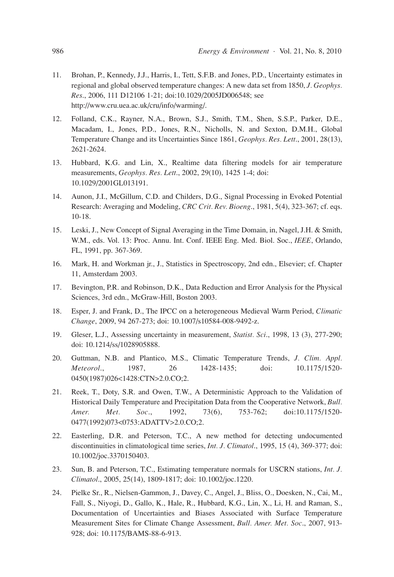- 11. Brohan, P., Kennedy, J.J., Harris, I., Tett, S.F.B. and Jones, P.D., Uncertainty estimates in regional and global observed temperature changes: A new data set from 1850, *J. Geophys. Res*., 2006, 111 D12106 1-21; doi:10.1029/2005JD006548; see http://www.cru.uea.ac.uk/cru/info/warming/.
- 12. Folland, C.K., Rayner, N.A., Brown, S.J., Smith, T.M., Shen, S.S.P., Parker, D.E., Macadam, I., Jones, P.D., Jones, R.N., Nicholls, N. and Sexton, D.M.H., Global Temperature Change and its Uncertainties Since 1861, *Geophys. Res. Lett*., 2001, 28(13), 2621-2624.
- 13. Hubbard, K.G. and Lin, X., Realtime data filtering models for air temperature measurements, *Geophys. Res. Lett*., 2002, 29(10), 1425 1-4; doi: 10.1029/2001GL013191.
- 14. Aunon, J.I., McGillum, C.D. and Childers, D.G., Signal Processing in Evoked Potential Research: Averaging and Modeling, *CRC Crit. Rev. Bioeng*., 1981, 5(4), 323-367; cf. eqs. 10-18.
- 15. Leski, J., New Concept of Signal Averaging in the Time Domain, in, Nagel, J.H. & Smith, W.M., eds. Vol. 13: Proc. Annu. Int. Conf. IEEE Eng. Med. Biol. Soc., *IEEE*, Orlando, FL, 1991, pp. 367-369.
- 16. Mark, H. and Workman jr., J., Statistics in Spectroscopy, 2nd edn., Elsevier; cf. Chapter 11, Amsterdam 2003.
- 17. Bevington, P.R. and Robinson, D.K., Data Reduction and Error Analysis for the Physical Sciences, 3rd edn., McGraw-Hill, Boston 2003.
- 18. Esper, J. and Frank, D., The IPCC on a heterogeneous Medieval Warm Period, *Climatic Change*, 2009, 94 267-273; doi: 10.1007/s10584-008-9492-z.
- 19. Gleser, L.J., Assessing uncertainty in measurement, *Statist. Sci*., 1998, 13 (3), 277-290; doi: 10.1214/ss/1028905888.
- 20. Guttman, N.B. and Plantico, M.S., Climatic Temperature Trends, *J. Clim. Appl. Meteorol*., 1987, 26 1428-1435; doi: 10.1175/1520- 0450(1987)026<1428:CTN>2.0.CO;2.
- 21. Reek, T., Doty, S.R. and Owen, T.W., A Deterministic Approach to the Validation of Historical Daily Temperature and Precipitation Data from the Cooperative Network, *Bull. Amer. Met. Soc*., 1992, 73(6), 753-762; doi:10.1175/1520- 0477(1992)073<0753:ADATTV>2.0.CO;2.
- 22. Easterling, D.R. and Peterson, T.C., A new method for detecting undocumented discontinuities in climatological time series, *Int. J. Climatol*., 1995, 15 (4), 369-377; doi: 10.1002/joc.3370150403.
- 23. Sun, B. and Peterson, T.C., Estimating temperature normals for USCRN stations, *Int. J. Climatol*., 2005, 25(14), 1809-1817; doi: 10.1002/joc.1220.
- 24. Pielke Sr., R., Nielsen-Gammon, J., Davey, C., Angel, J., Bliss, O., Doesken, N., Cai, M., Fall, S., Niyogi, D., Gallo, K., Hale, R., Hubbard, K.G., Lin, X., Li, H. and Raman, S., Documentation of Uncertainties and Biases Associated with Surface Temperature Measurement Sites for Climate Change Assessment, *Bull. Amer. Met. Soc*., 2007, 913- 928; doi: 10.1175/BAMS-88-6-913.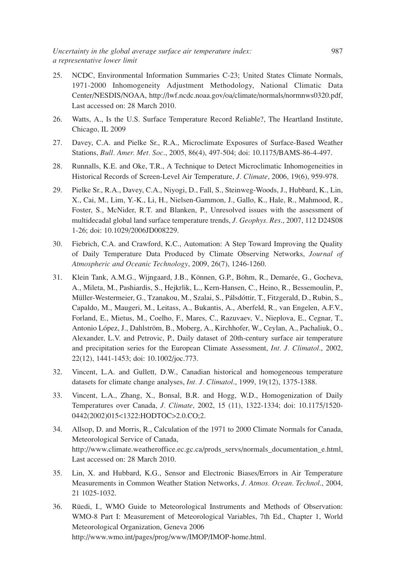- 25. NCDC, Environmental Information Summaries C-23; United States Climate Normals, 1971-2000 Inhomogeneity Adjustment Methodology, National Climatic Data Center/NESDIS/NOAA, http://lwf.ncdc.noaa.gov/oa/climate/normals/normnws0320.pdf, Last accessed on: 28 March 2010.
- 26. Watts, A., Is the U.S. Surface Temperature Record Reliable?, The Heartland Institute, Chicago, IL 2009
- 27. Davey, C.A. and Pielke Sr., R.A., Microclimate Exposures of Surface-Based Weather Stations, *Bull. Amer. Met. Soc*., 2005, 86(4), 497-504; doi: 10.1175/BAMS-86-4-497.
- 28. Runnalls, K.E. and Oke, T.R., A Technique to Detect Microclimatic Inhomogeneities in Historical Records of Screen-Level Air Temperature, *J. Climate*, 2006, 19(6), 959-978.
- 29. Pielke Sr., R.A., Davey, C.A., Niyogi, D., Fall, S., Steinweg-Woods, J., Hubbard, K., Lin, X., Cai, M., Lim, Y.-K., Li, H., Nielsen-Gammon, J., Gallo, K., Hale, R., Mahmood, R., Foster, S., McNider, R.T. and Blanken, P., Unresolved issues with the assessment of multidecadal global land surface temperature trends, *J. Geophys. Res*., 2007, 112 D24S08 1-26; doi: 10.1029/2006JD008229.
- 30. Fiebrich, C.A. and Crawford, K.C., Automation: A Step Toward Improving the Quality of Daily Temperature Data Produced by Climate Observing Networks, *Journal of Atmospheric and Oceanic Technology*, 2009, 26(7), 1246-1260.
- 31. Klein Tank, A.M.G., Wijngaard, J.B., Können, G.P., Böhm, R., Demarée, G., Gocheva, A., Mileta, M., Pashiardis, S., Hejkrlik, L., Kern-Hansen, C., Heino, R., Bessemoulin, P., Müller-Westermeier, G., Tzanakou, M., Szalai, S., Pálsdóttir, T., Fitzgerald, D., Rubin, S., Capaldo, M., Maugeri, M., Leitass, A., Bukantis, A., Aberfeld, R., van Engelen, A.F.V., Forland, E., Mietus, M., Coelho, F., Mares, C., Razuvaev, V., Nieplova, E., Cegnar, T., Antonio López, J., Dahlström, B., Moberg, A., Kirchhofer, W., Ceylan, A., Pachaliuk, O., Alexander, L.V. and Petrovic, P., Daily dataset of 20th-century surface air temperature and precipitation series for the European Climate Assessment, *Int. J. Climatol*., 2002, 22(12), 1441-1453; doi: 10.1002/joc.773.
- 32. Vincent, L.A. and Gullett, D.W., Canadian historical and homogeneous temperature datasets for climate change analyses, *Int. J. Climatol*., 1999, 19(12), 1375-1388.
- 33. Vincent, L.A., Zhang, X., Bonsal, B.R. and Hogg, W.D., Homogenization of Daily Temperatures over Canada, *J. Climate*, 2002, 15 (11), 1322-1334; doi: 10.1175/1520- 0442(2002)015<1322:HODTOC>2.0.CO;2.
- 34. Allsop, D. and Morris, R., Calculation of the 1971 to 2000 Climate Normals for Canada, Meteorological Service of Canada, http://www.climate.weatheroffice.ec.gc.ca/prods\_servs/normals\_documentation\_e.html, Last accessed on: 28 March 2010.
- 35. Lin, X. and Hubbard, K.G., Sensor and Electronic Biases/Errors in Air Temperature Measurements in Common Weather Station Networks, *J. Atmos. Ocean. Technol*., 2004, 21 1025-1032.
- 36. Rüedi, I., WMO Guide to Meteorological Instruments and Methods of Observation: WMO-8 Part I: Measurement of Meteorological Variables, 7th Ed., Chapter 1, World Meteorological Organization, Geneva 2006 http://www.wmo.int/pages/prog/www/IMOP/IMOP-home.html.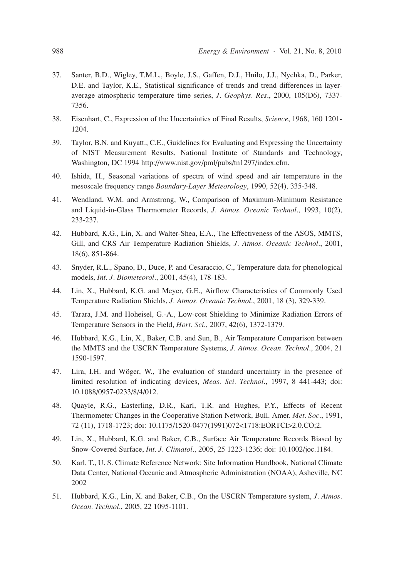- 37. Santer, B.D., Wigley, T.M.L., Boyle, J.S., Gaffen, D.J., Hnilo, J.J., Nychka, D., Parker, D.E. and Taylor, K.E., Statistical significance of trends and trend differences in layeraverage atmospheric temperature time series, *J. Geophys. Res*., 2000, 105(D6), 7337- 7356.
- 38. Eisenhart, C., Expression of the Uncertainties of Final Results, *Science*, 1968, 160 1201- 1204.
- 39. Taylor, B.N. and Kuyatt., C.E., Guidelines for Evaluating and Expressing the Uncertainty of NIST Measurement Results, National Institute of Standards and Technology, Washington, DC 1994 http://www.nist.gov/pml/pubs/tn1297/index.cfm.
- 40. Ishida, H., Seasonal variations of spectra of wind speed and air temperature in the mesoscale frequency range *Boundary-Layer Meteorology*, 1990, 52(4), 335-348.
- 41. Wendland, W.M. and Armstrong, W., Comparison of Maximum-Minimum Resistance and Liquid-in-Glass Thermometer Records, *J. Atmos. Oceanic Technol*., 1993, 10(2), 233-237.
- 42. Hubbard, K.G., Lin, X. and Walter-Shea, E.A., The Effectiveness of the ASOS, MMTS, Gill, and CRS Air Temperature Radiation Shields, *J. Atmos. Oceanic Technol*., 2001, 18(6), 851-864.
- 43. Snyder, R.L., Spano, D., Duce, P. and Cesaraccio, C., Temperature data for phenological models, *Int. J. Biometeorol*., 2001, 45(4), 178-183.
- 44. Lin, X., Hubbard, K.G. and Meyer, G.E., Airflow Characteristics of Commonly Used Temperature Radiation Shields, *J. Atmos. Oceanic Technol*., 2001, 18 (3), 329-339.
- 45. Tarara, J.M. and Hoheisel, G.-A., Low-cost Shielding to Minimize Radiation Errors of Temperature Sensors in the Field, *Hort. Sci*., 2007, 42(6), 1372-1379.
- 46. Hubbard, K.G., Lin, X., Baker, C.B. and Sun, B., Air Temperature Comparison between the MMTS and the USCRN Temperature Systems, *J. Atmos. Ocean. Technol*., 2004, 21 1590-1597.
- 47. Lira, I.H. and Wöger, W., The evaluation of standard uncertainty in the presence of limited resolution of indicating devices, *Meas. Sci. Technol*., 1997, 8 441-443; doi: 10.1088/0957-0233/8/4/012.
- 48. Quayle, R.G., Easterling, D.R., Karl, T.R. and Hughes, P.Y., Effects of Recent Thermometer Changes in the Cooperative Station Network, Bull. Amer. *Met. Soc*., 1991, 72 (11), 1718-1723; doi: 10.1175/1520-0477(1991)072<1718:EORTCI>2.0.CO;2.
- 49. Lin, X., Hubbard, K.G. and Baker, C.B., Surface Air Temperature Records Biased by Snow-Covered Surface, *Int. J. Climatol*., 2005, 25 1223-1236; doi: 10.1002/joc.1184.
- 50. Karl, T., U. S. Climate Reference Network: Site Information Handbook, National Climate Data Center, National Oceanic and Atmospheric Administration (NOAA), Asheville, NC 2002
- 51. Hubbard, K.G., Lin, X. and Baker, C.B., On the USCRN Temperature system, *J. Atmos. Ocean. Technol*., 2005, 22 1095-1101.